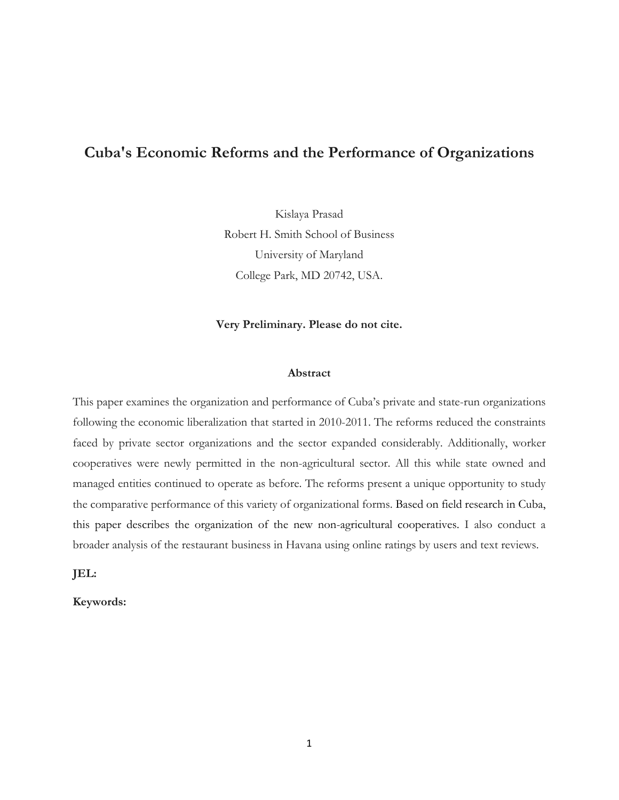# **Cuba's Economic Reforms and the Performance of Organizations**

Kislaya Prasad Robert H. Smith School of Business University of Maryland College Park, MD 20742, USA.

#### **Very Preliminary. Please do not cite.**

#### **Abstract**

This paper examines the organization and performance of Cuba's private and state-run organizations following the economic liberalization that started in 2010-2011. The reforms reduced the constraints faced by private sector organizations and the sector expanded considerably. Additionally, worker cooperatives were newly permitted in the non-agricultural sector. All this while state owned and managed entities continued to operate as before. The reforms present a unique opportunity to study the comparative performance of this variety of organizational forms. Based on field research in Cuba, this paper describes the organization of the new non-agricultural cooperatives. I also conduct a broader analysis of the restaurant business in Havana using online ratings by users and text reviews.

**JEL:** 

**Keywords:**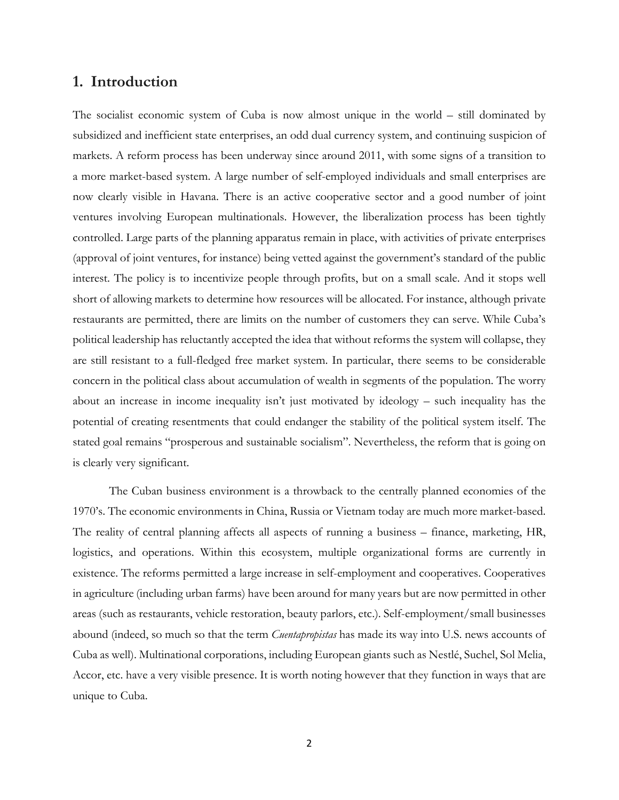## **1. Introduction**

The socialist economic system of Cuba is now almost unique in the world – still dominated by subsidized and inefficient state enterprises, an odd dual currency system, and continuing suspicion of markets. A reform process has been underway since around 2011, with some signs of a transition to a more market-based system. A large number of self-employed individuals and small enterprises are now clearly visible in Havana. There is an active cooperative sector and a good number of joint ventures involving European multinationals. However, the liberalization process has been tightly controlled. Large parts of the planning apparatus remain in place, with activities of private enterprises (approval of joint ventures, for instance) being vetted against the government's standard of the public interest. The policy is to incentivize people through profits, but on a small scale. And it stops well short of allowing markets to determine how resources will be allocated. For instance, although private restaurants are permitted, there are limits on the number of customers they can serve. While Cuba's political leadership has reluctantly accepted the idea that without reforms the system will collapse, they are still resistant to a full-fledged free market system. In particular, there seems to be considerable concern in the political class about accumulation of wealth in segments of the population. The worry about an increase in income inequality isn't just motivated by ideology – such inequality has the potential of creating resentments that could endanger the stability of the political system itself. The stated goal remains "prosperous and sustainable socialism". Nevertheless, the reform that is going on is clearly very significant.

The Cuban business environment is a throwback to the centrally planned economies of the 1970's. The economic environments in China, Russia or Vietnam today are much more market-based. The reality of central planning affects all aspects of running a business – finance, marketing, HR, logistics, and operations. Within this ecosystem, multiple organizational forms are currently in existence. The reforms permitted a large increase in self-employment and cooperatives. Cooperatives in agriculture (including urban farms) have been around for many years but are now permitted in other areas (such as restaurants, vehicle restoration, beauty parlors, etc.). Self-employment/small businesses abound (indeed, so much so that the term *Cuentapropistas* has made its way into U.S. news accounts of Cuba as well). Multinational corporations, including European giants such as Nestlé, Suchel, Sol Melia, Accor, etc. have a very visible presence. It is worth noting however that they function in ways that are unique to Cuba.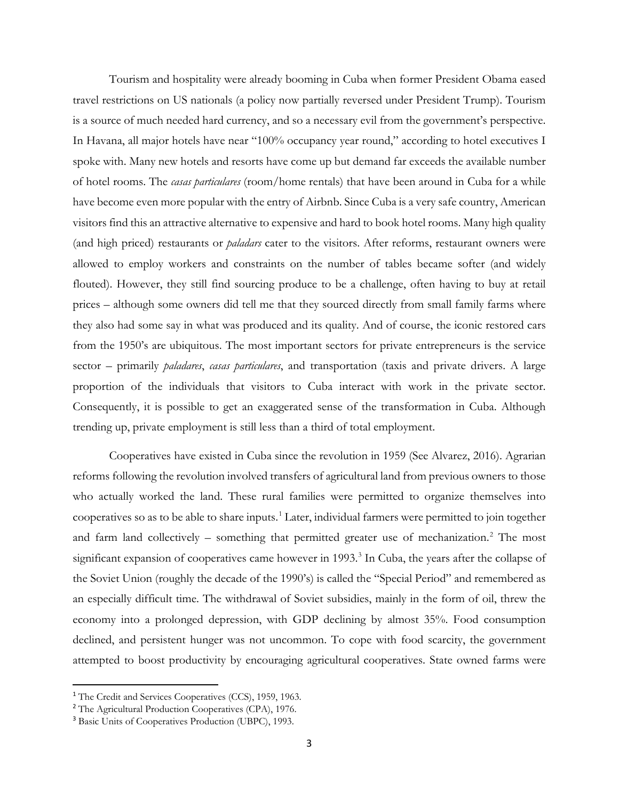Tourism and hospitality were already booming in Cuba when former President Obama eased travel restrictions on US nationals (a policy now partially reversed under President Trump). Tourism is a source of much needed hard currency, and so a necessary evil from the government's perspective. In Havana, all major hotels have near "100% occupancy year round," according to hotel executives I spoke with. Many new hotels and resorts have come up but demand far exceeds the available number of hotel rooms. The *casas particulares* (room/home rentals) that have been around in Cuba for a while have become even more popular with the entry of Airbnb. Since Cuba is a very safe country, American visitors find this an attractive alternative to expensive and hard to book hotel rooms. Many high quality (and high priced) restaurants or *paladars* cater to the visitors. After reforms, restaurant owners were allowed to employ workers and constraints on the number of tables became softer (and widely flouted). However, they still find sourcing produce to be a challenge, often having to buy at retail prices – although some owners did tell me that they sourced directly from small family farms where they also had some say in what was produced and its quality. And of course, the iconic restored cars from the 1950's are ubiquitous. The most important sectors for private entrepreneurs is the service sector – primarily *paladares*, *casas particulares*, and transportation (taxis and private drivers. A large proportion of the individuals that visitors to Cuba interact with work in the private sector. Consequently, it is possible to get an exaggerated sense of the transformation in Cuba. Although trending up, private employment is still less than a third of total employment.

Cooperatives have existed in Cuba since the revolution in 1959 (See Alvarez, 2016). Agrarian reforms following the revolution involved transfers of agricultural land from previous owners to those who actually worked the land. These rural families were permitted to organize themselves into cooperatives so as to be able to share inputs.[1](#page-2-0) Later, individual farmers were permitted to join together and farm land collectively – something that permitted greater use of mechanization.<sup>[2](#page-2-1)</sup> The most significant expansion of cooperatives came however in 1993.<sup>3</sup> In Cuba, the years after the collapse of the Soviet Union (roughly the decade of the 1990's) is called the "Special Period" and remembered as an especially difficult time. The withdrawal of Soviet subsidies, mainly in the form of oil, threw the economy into a prolonged depression, with GDP declining by almost 35%. Food consumption declined, and persistent hunger was not uncommon. To cope with food scarcity, the government attempted to boost productivity by encouraging agricultural cooperatives. State owned farms were

<span id="page-2-0"></span><sup>&</sup>lt;sup>1</sup> The Credit and Services Cooperatives (CCS), 1959, 1963.

<span id="page-2-1"></span><sup>2</sup> The Agricultural Production Cooperatives (CPA), 1976.

<span id="page-2-2"></span><sup>3</sup> Basic Units of Cooperatives Production (UBPC), 1993.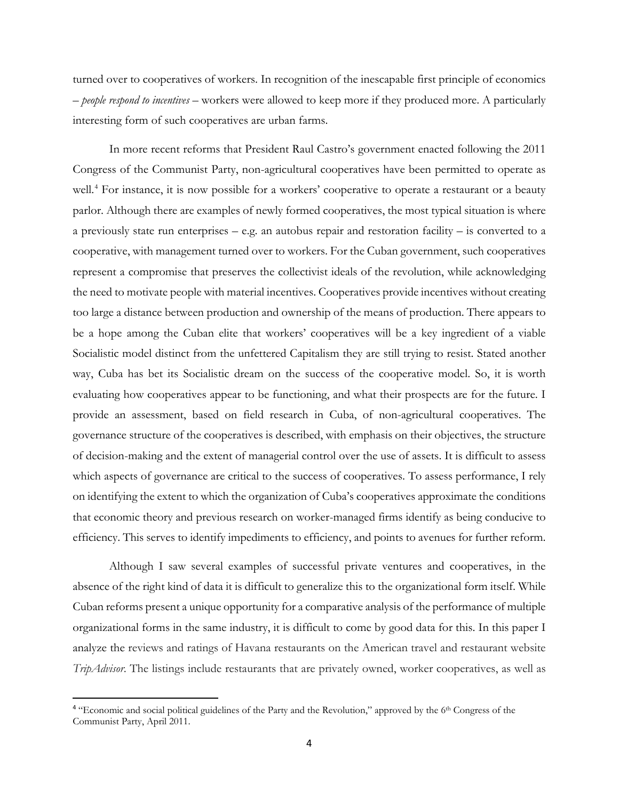turned over to cooperatives of workers. In recognition of the inescapable first principle of economics – *people respond to incentives* – workers were allowed to keep more if they produced more. A particularly interesting form of such cooperatives are urban farms.

In more recent reforms that President Raul Castro's government enacted following the 2011 Congress of the Communist Party, non-agricultural cooperatives have been permitted to operate as well.<sup>[4](#page-3-0)</sup> For instance, it is now possible for a workers' cooperative to operate a restaurant or a beauty parlor. Although there are examples of newly formed cooperatives, the most typical situation is where a previously state run enterprises – e.g. an autobus repair and restoration facility – is converted to a cooperative, with management turned over to workers. For the Cuban government, such cooperatives represent a compromise that preserves the collectivist ideals of the revolution, while acknowledging the need to motivate people with material incentives. Cooperatives provide incentives without creating too large a distance between production and ownership of the means of production. There appears to be a hope among the Cuban elite that workers' cooperatives will be a key ingredient of a viable Socialistic model distinct from the unfettered Capitalism they are still trying to resist. Stated another way, Cuba has bet its Socialistic dream on the success of the cooperative model. So, it is worth evaluating how cooperatives appear to be functioning, and what their prospects are for the future. I provide an assessment, based on field research in Cuba, of non-agricultural cooperatives. The governance structure of the cooperatives is described, with emphasis on their objectives, the structure of decision-making and the extent of managerial control over the use of assets. It is difficult to assess which aspects of governance are critical to the success of cooperatives. To assess performance, I rely on identifying the extent to which the organization of Cuba's cooperatives approximate the conditions that economic theory and previous research on worker-managed firms identify as being conducive to efficiency. This serves to identify impediments to efficiency, and points to avenues for further reform.

Although I saw several examples of successful private ventures and cooperatives, in the absence of the right kind of data it is difficult to generalize this to the organizational form itself. While Cuban reforms present a unique opportunity for a comparative analysis of the performance of multiple organizational forms in the same industry, it is difficult to come by good data for this. In this paper I analyze the reviews and ratings of Havana restaurants on the American travel and restaurant website *TripAdvisor*. The listings include restaurants that are privately owned, worker cooperatives, as well as

<span id="page-3-0"></span><sup>&</sup>lt;sup>4</sup> "Economic and social political guidelines of the Party and the Revolution," approved by the 6<sup>th</sup> Congress of the Communist Party, April 2011.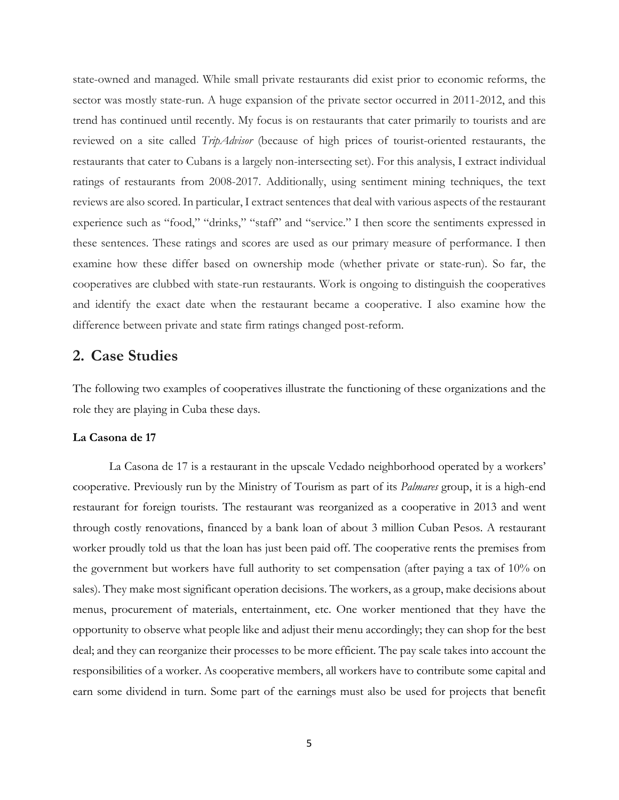state-owned and managed. While small private restaurants did exist prior to economic reforms, the sector was mostly state-run. A huge expansion of the private sector occurred in 2011-2012, and this trend has continued until recently. My focus is on restaurants that cater primarily to tourists and are reviewed on a site called *TripAdvisor* (because of high prices of tourist-oriented restaurants, the restaurants that cater to Cubans is a largely non-intersecting set). For this analysis, I extract individual ratings of restaurants from 2008-2017. Additionally, using sentiment mining techniques, the text reviews are also scored. In particular, I extract sentences that deal with various aspects of the restaurant experience such as "food," "drinks," "staff" and "service." I then score the sentiments expressed in these sentences. These ratings and scores are used as our primary measure of performance. I then examine how these differ based on ownership mode (whether private or state-run). So far, the cooperatives are clubbed with state-run restaurants. Work is ongoing to distinguish the cooperatives and identify the exact date when the restaurant became a cooperative. I also examine how the difference between private and state firm ratings changed post-reform.

### **2. Case Studies**

The following two examples of cooperatives illustrate the functioning of these organizations and the role they are playing in Cuba these days.

#### **La Casona de 17**

La Casona de 17 is a restaurant in the upscale Vedado neighborhood operated by a workers' cooperative. Previously run by the Ministry of Tourism as part of its *Palmares* group, it is a high-end restaurant for foreign tourists. The restaurant was reorganized as a cooperative in 2013 and went through costly renovations, financed by a bank loan of about 3 million Cuban Pesos. A restaurant worker proudly told us that the loan has just been paid off. The cooperative rents the premises from the government but workers have full authority to set compensation (after paying a tax of 10% on sales). They make most significant operation decisions. The workers, as a group, make decisions about menus, procurement of materials, entertainment, etc. One worker mentioned that they have the opportunity to observe what people like and adjust their menu accordingly; they can shop for the best deal; and they can reorganize their processes to be more efficient. The pay scale takes into account the responsibilities of a worker. As cooperative members, all workers have to contribute some capital and earn some dividend in turn. Some part of the earnings must also be used for projects that benefit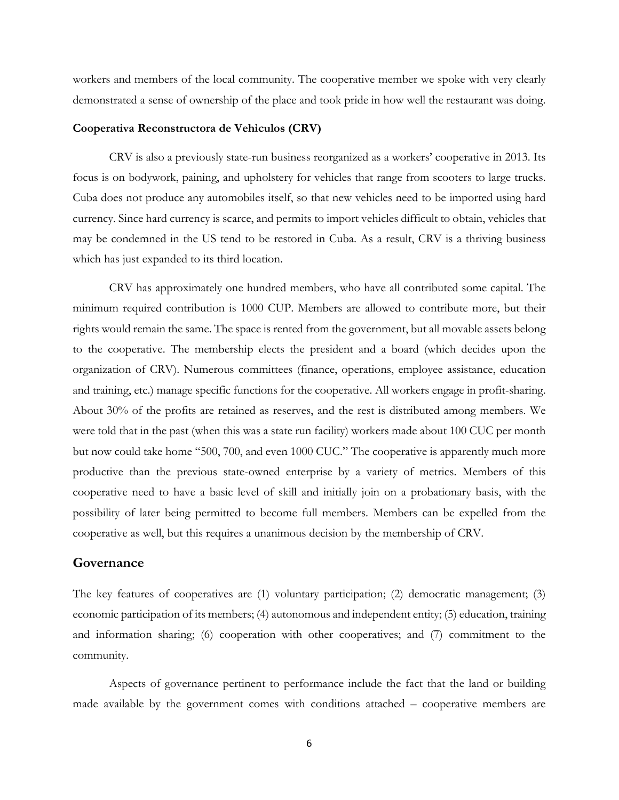workers and members of the local community. The cooperative member we spoke with very clearly demonstrated a sense of ownership of the place and took pride in how well the restaurant was doing.

#### **Cooperativa Reconstructora de Vehìculos (CRV)**

CRV is also a previously state-run business reorganized as a workers' cooperative in 2013. Its focus is on bodywork, paining, and upholstery for vehicles that range from scooters to large trucks. Cuba does not produce any automobiles itself, so that new vehicles need to be imported using hard currency. Since hard currency is scarce, and permits to import vehicles difficult to obtain, vehicles that may be condemned in the US tend to be restored in Cuba. As a result, CRV is a thriving business which has just expanded to its third location.

CRV has approximately one hundred members, who have all contributed some capital. The minimum required contribution is 1000 CUP. Members are allowed to contribute more, but their rights would remain the same. The space is rented from the government, but all movable assets belong to the cooperative. The membership elects the president and a board (which decides upon the organization of CRV). Numerous committees (finance, operations, employee assistance, education and training, etc.) manage specific functions for the cooperative. All workers engage in profit-sharing. About 30% of the profits are retained as reserves, and the rest is distributed among members. We were told that in the past (when this was a state run facility) workers made about 100 CUC per month but now could take home "500, 700, and even 1000 CUC." The cooperative is apparently much more productive than the previous state-owned enterprise by a variety of metrics. Members of this cooperative need to have a basic level of skill and initially join on a probationary basis, with the possibility of later being permitted to become full members. Members can be expelled from the cooperative as well, but this requires a unanimous decision by the membership of CRV.

#### **Governance**

The key features of cooperatives are (1) voluntary participation; (2) democratic management; (3) economic participation of its members; (4) autonomous and independent entity; (5) education, training and information sharing; (6) cooperation with other cooperatives; and (7) commitment to the community.

Aspects of governance pertinent to performance include the fact that the land or building made available by the government comes with conditions attached – cooperative members are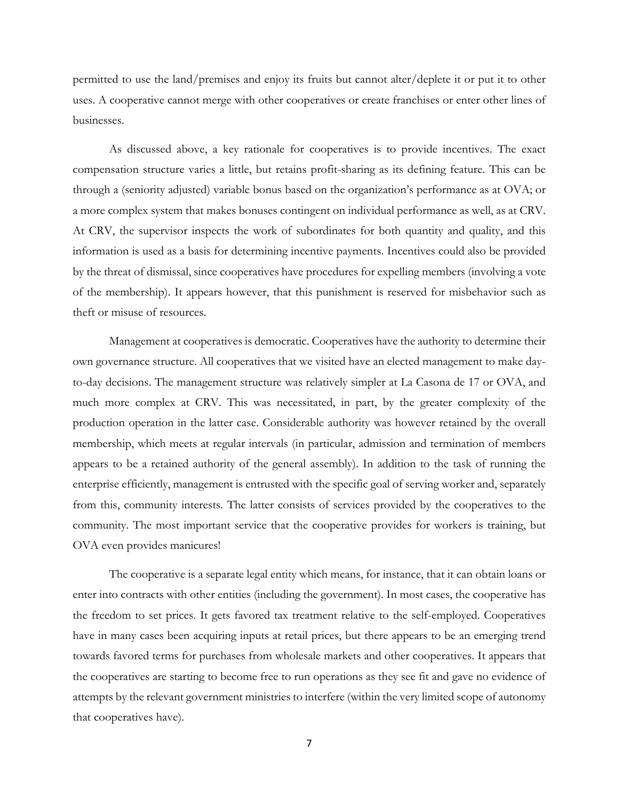permitted to use the land/premises and enjoy its fruits but cannot alter/deplete it or put it to other uses. A cooperative cannot merge with other cooperatives or create franchises or enter other lines of businesses.

As discussed above, a key rationale for cooperatives is to provide incentives. The exact compensation structure varies a little, but retains profit-sharing as its defining feature. This can be through a (seniority adjusted) variable bonus based on the organization's performance as at OVA; or a more complex system that makes bonuses contingent on individual performance as well, as at CRV. At CRV, the supervisor inspects the work of subordinates for both quantity and quality, and this information is used as a basis for determining incentive payments. Incentives could also be provided by the threat of dismissal, since cooperatives have procedures for expelling members (involving a vote of the membership). It appears however, that this punishment is reserved for misbehavior such as theft or misuse of resources.

Management at cooperatives is democratic. Cooperatives have the authority to determine their own governance structure. All cooperatives that we visited have an elected management to make dayto-day decisions. The management structure was relatively simpler at La Casona de 17 or OVA, and much more complex at CRV. This was necessitated, in part, by the greater complexity of the production operation in the latter case. Considerable authority was however retained by the overall membership, which meets at regular intervals (in particular, admission and termination of members appears to be a retained authority of the general assembly). In addition to the task of running the enterprise efficiently, management is entrusted with the specific goal of serving worker and, separately from this, community interests. The latter consists of services provided by the cooperatives to the community. The most important service that the cooperative provides for workers is training, but OVA even provides manicures!

The cooperative is a separate legal entity which means, for instance, that it can obtain loans or enter into contracts with other entities (including the government). In most cases, the cooperative has the freedom to set prices. It gets favored tax treatment relative to the self-employed. Cooperatives have in many cases been acquiring inputs at retail prices, but there appears to be an emerging trend towards favored terms for purchases from wholesale markets and other cooperatives. It appears that the cooperatives are starting to become free to run operations as they see fit and gave no evidence of attempts by the relevant government ministries to interfere (within the very limited scope of autonomy that cooperatives have).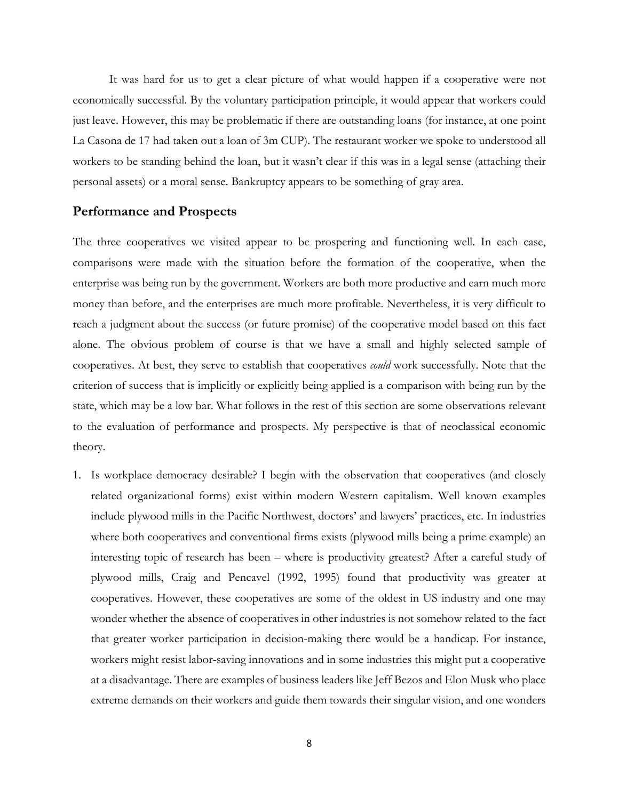It was hard for us to get a clear picture of what would happen if a cooperative were not economically successful. By the voluntary participation principle, it would appear that workers could just leave. However, this may be problematic if there are outstanding loans (for instance, at one point La Casona de 17 had taken out a loan of 3m CUP). The restaurant worker we spoke to understood all workers to be standing behind the loan, but it wasn't clear if this was in a legal sense (attaching their personal assets) or a moral sense. Bankruptcy appears to be something of gray area.

#### **Performance and Prospects**

The three cooperatives we visited appear to be prospering and functioning well. In each case, comparisons were made with the situation before the formation of the cooperative, when the enterprise was being run by the government. Workers are both more productive and earn much more money than before, and the enterprises are much more profitable. Nevertheless, it is very difficult to reach a judgment about the success (or future promise) of the cooperative model based on this fact alone. The obvious problem of course is that we have a small and highly selected sample of cooperatives. At best, they serve to establish that cooperatives *could* work successfully. Note that the criterion of success that is implicitly or explicitly being applied is a comparison with being run by the state, which may be a low bar. What follows in the rest of this section are some observations relevant to the evaluation of performance and prospects. My perspective is that of neoclassical economic theory.

1. Is workplace democracy desirable? I begin with the observation that cooperatives (and closely related organizational forms) exist within modern Western capitalism. Well known examples include plywood mills in the Pacific Northwest, doctors' and lawyers' practices, etc. In industries where both cooperatives and conventional firms exists (plywood mills being a prime example) an interesting topic of research has been – where is productivity greatest? After a careful study of plywood mills, Craig and Pencavel (1992, 1995) found that productivity was greater at cooperatives. However, these cooperatives are some of the oldest in US industry and one may wonder whether the absence of cooperatives in other industries is not somehow related to the fact that greater worker participation in decision-making there would be a handicap. For instance, workers might resist labor-saving innovations and in some industries this might put a cooperative at a disadvantage. There are examples of business leaders like Jeff Bezos and Elon Musk who place extreme demands on their workers and guide them towards their singular vision, and one wonders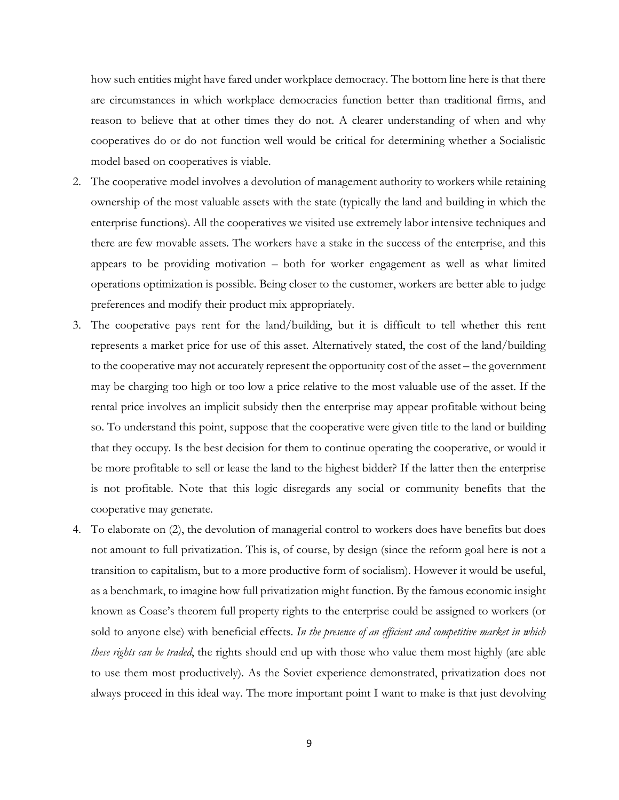how such entities might have fared under workplace democracy. The bottom line here is that there are circumstances in which workplace democracies function better than traditional firms, and reason to believe that at other times they do not. A clearer understanding of when and why cooperatives do or do not function well would be critical for determining whether a Socialistic model based on cooperatives is viable.

- 2. The cooperative model involves a devolution of management authority to workers while retaining ownership of the most valuable assets with the state (typically the land and building in which the enterprise functions). All the cooperatives we visited use extremely labor intensive techniques and there are few movable assets. The workers have a stake in the success of the enterprise, and this appears to be providing motivation – both for worker engagement as well as what limited operations optimization is possible. Being closer to the customer, workers are better able to judge preferences and modify their product mix appropriately.
- 3. The cooperative pays rent for the land/building, but it is difficult to tell whether this rent represents a market price for use of this asset. Alternatively stated, the cost of the land/building to the cooperative may not accurately represent the opportunity cost of the asset – the government may be charging too high or too low a price relative to the most valuable use of the asset. If the rental price involves an implicit subsidy then the enterprise may appear profitable without being so. To understand this point, suppose that the cooperative were given title to the land or building that they occupy. Is the best decision for them to continue operating the cooperative, or would it be more profitable to sell or lease the land to the highest bidder? If the latter then the enterprise is not profitable. Note that this logic disregards any social or community benefits that the cooperative may generate.
- 4. To elaborate on (2), the devolution of managerial control to workers does have benefits but does not amount to full privatization. This is, of course, by design (since the reform goal here is not a transition to capitalism, but to a more productive form of socialism). However it would be useful, as a benchmark, to imagine how full privatization might function. By the famous economic insight known as Coase's theorem full property rights to the enterprise could be assigned to workers (or sold to anyone else) with beneficial effects. *In the presence of an efficient and competitive market in which these rights can be traded*, the rights should end up with those who value them most highly (are able to use them most productively). As the Soviet experience demonstrated, privatization does not always proceed in this ideal way. The more important point I want to make is that just devolving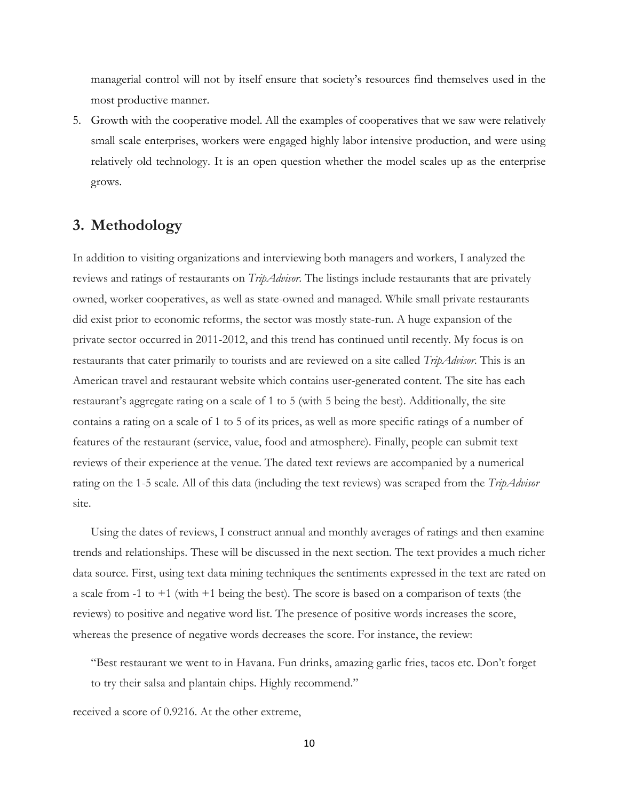managerial control will not by itself ensure that society's resources find themselves used in the most productive manner.

5. Growth with the cooperative model. All the examples of cooperatives that we saw were relatively small scale enterprises, workers were engaged highly labor intensive production, and were using relatively old technology. It is an open question whether the model scales up as the enterprise grows.

# **3. Methodology**

In addition to visiting organizations and interviewing both managers and workers, I analyzed the reviews and ratings of restaurants on *TripAdvisor*. The listings include restaurants that are privately owned, worker cooperatives, as well as state-owned and managed. While small private restaurants did exist prior to economic reforms, the sector was mostly state-run. A huge expansion of the private sector occurred in 2011-2012, and this trend has continued until recently. My focus is on restaurants that cater primarily to tourists and are reviewed on a site called *TripAdvisor*. This is an American travel and restaurant website which contains user-generated content. The site has each restaurant's aggregate rating on a scale of 1 to 5 (with 5 being the best). Additionally, the site contains a rating on a scale of 1 to 5 of its prices, as well as more specific ratings of a number of features of the restaurant (service, value, food and atmosphere). Finally, people can submit text reviews of their experience at the venue. The dated text reviews are accompanied by a numerical rating on the 1-5 scale. All of this data (including the text reviews) was scraped from the *TripAdvisor* site.

Using the dates of reviews, I construct annual and monthly averages of ratings and then examine trends and relationships. These will be discussed in the next section. The text provides a much richer data source. First, using text data mining techniques the sentiments expressed in the text are rated on a scale from -1 to +1 (with +1 being the best). The score is based on a comparison of texts (the reviews) to positive and negative word list. The presence of positive words increases the score, whereas the presence of negative words decreases the score. For instance, the review:

"Best restaurant we went to in Havana. Fun drinks, amazing garlic fries, tacos etc. Don't forget to try their salsa and plantain chips. Highly recommend."

received a score of 0.9216. At the other extreme,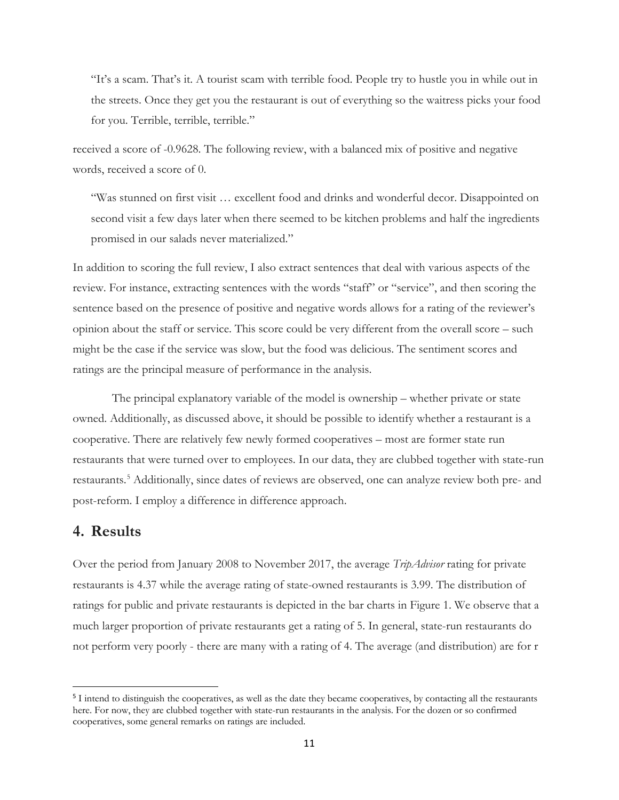"It's a scam. That's it. A tourist scam with terrible food. People try to hustle you in while out in the streets. Once they get you the restaurant is out of everything so the waitress picks your food for you. Terrible, terrible, terrible."

received a score of -0.9628. The following review, with a balanced mix of positive and negative words, received a score of 0.

"Was stunned on first visit … excellent food and drinks and wonderful decor. Disappointed on second visit a few days later when there seemed to be kitchen problems and half the ingredients promised in our salads never materialized."

In addition to scoring the full review, I also extract sentences that deal with various aspects of the review. For instance, extracting sentences with the words "staff" or "service", and then scoring the sentence based on the presence of positive and negative words allows for a rating of the reviewer's opinion about the staff or service. This score could be very different from the overall score – such might be the case if the service was slow, but the food was delicious. The sentiment scores and ratings are the principal measure of performance in the analysis.

The principal explanatory variable of the model is ownership – whether private or state owned. Additionally, as discussed above, it should be possible to identify whether a restaurant is a cooperative. There are relatively few newly formed cooperatives – most are former state run restaurants that were turned over to employees. In our data, they are clubbed together with state-run restaurants.[5](#page-10-0) Additionally, since dates of reviews are observed, one can analyze review both pre- and post-reform. I employ a difference in difference approach.

## **4. Results**

Over the period from January 2008 to November 2017, the average *TripAdvisor* rating for private restaurants is 4.37 while the average rating of state-owned restaurants is 3.99. The distribution of ratings for public and private restaurants is depicted in the bar charts in Figure 1. We observe that a much larger proportion of private restaurants get a rating of 5. In general, state-run restaurants do not perform very poorly - there are many with a rating of 4. The average (and distribution) are for r

<span id="page-10-0"></span><sup>&</sup>lt;sup>5</sup> I intend to distinguish the cooperatives, as well as the date they became cooperatives, by contacting all the restaurants here. For now, they are clubbed together with state-run restaurants in the analysis. For the dozen or so confirmed cooperatives, some general remarks on ratings are included.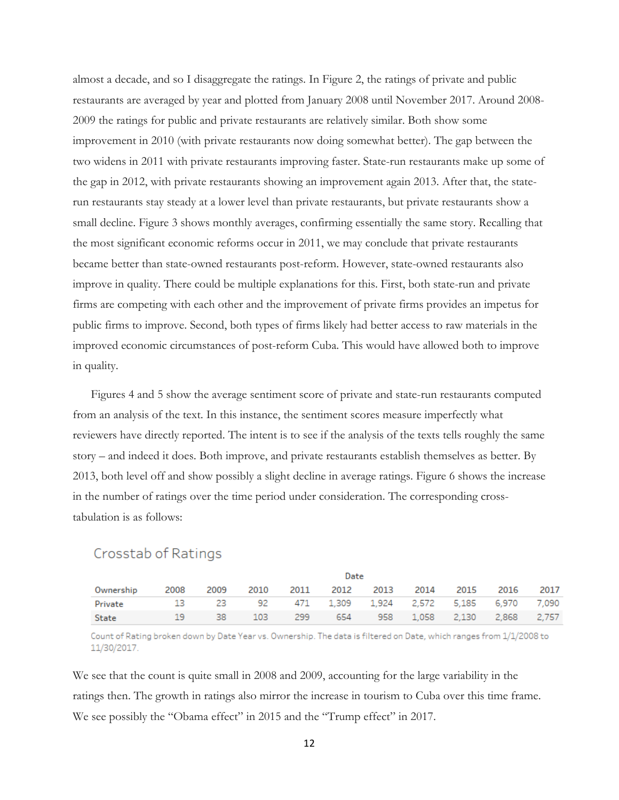almost a decade, and so I disaggregate the ratings. In Figure 2, the ratings of private and public restaurants are averaged by year and plotted from January 2008 until November 2017. Around 2008- 2009 the ratings for public and private restaurants are relatively similar. Both show some improvement in 2010 (with private restaurants now doing somewhat better). The gap between the two widens in 2011 with private restaurants improving faster. State-run restaurants make up some of the gap in 2012, with private restaurants showing an improvement again 2013. After that, the staterun restaurants stay steady at a lower level than private restaurants, but private restaurants show a small decline. Figure 3 shows monthly averages, confirming essentially the same story. Recalling that the most significant economic reforms occur in 2011, we may conclude that private restaurants became better than state-owned restaurants post-reform. However, state-owned restaurants also improve in quality. There could be multiple explanations for this. First, both state-run and private firms are competing with each other and the improvement of private firms provides an impetus for public firms to improve. Second, both types of firms likely had better access to raw materials in the improved economic circumstances of post-reform Cuba. This would have allowed both to improve in quality.

Figures 4 and 5 show the average sentiment score of private and state-run restaurants computed from an analysis of the text. In this instance, the sentiment scores measure imperfectly what reviewers have directly reported. The intent is to see if the analysis of the texts tells roughly the same story – and indeed it does. Both improve, and private restaurants establish themselves as better. By 2013, both level off and show possibly a slight decline in average ratings. Figure 6 shows the increase in the number of ratings over the time period under consideration. The corresponding crosstabulation is as follows:

## Crosstab of Ratings

|                                                          |      |           |  | Date                                    |  |  |  |
|----------------------------------------------------------|------|-----------|--|-----------------------------------------|--|--|--|
| Ownership                                                |      | 2008 2009 |  | 2010 2011 2012 2013 2014 2015 2016 2017 |  |  |  |
| Private 13 23 92 471 1,309 1,924 2,572 5,185 6,970 7,090 |      |           |  |                                         |  |  |  |
| State                                                    | -19. | $-38$     |  | 103 299 654 958 1,058 2,130 2,868 2,757 |  |  |  |

Count of Rating broken down by Date Year vs. Ownership. The data is filtered on Date, which ranges from 1/1/2008 to 11/30/2017.

We see that the count is quite small in 2008 and 2009, accounting for the large variability in the ratings then. The growth in ratings also mirror the increase in tourism to Cuba over this time frame. We see possibly the "Obama effect" in 2015 and the "Trump effect" in 2017.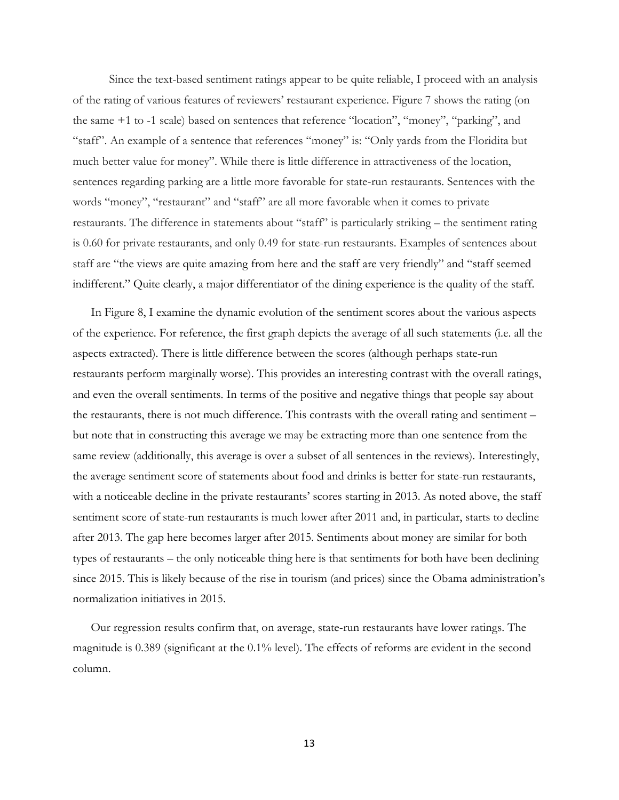Since the text-based sentiment ratings appear to be quite reliable, I proceed with an analysis of the rating of various features of reviewers' restaurant experience. Figure 7 shows the rating (on the same +1 to -1 scale) based on sentences that reference "location", "money", "parking", and "staff". An example of a sentence that references "money" is: "Only yards from the Floridita but much better value for money". While there is little difference in attractiveness of the location, sentences regarding parking are a little more favorable for state-run restaurants. Sentences with the words "money", "restaurant" and "staff" are all more favorable when it comes to private restaurants. The difference in statements about "staff" is particularly striking – the sentiment rating is 0.60 for private restaurants, and only 0.49 for state-run restaurants. Examples of sentences about staff are "the views are quite amazing from here and the staff are very friendly" and "staff seemed indifferent." Quite clearly, a major differentiator of the dining experience is the quality of the staff.

In Figure 8, I examine the dynamic evolution of the sentiment scores about the various aspects of the experience. For reference, the first graph depicts the average of all such statements (i.e. all the aspects extracted). There is little difference between the scores (although perhaps state-run restaurants perform marginally worse). This provides an interesting contrast with the overall ratings, and even the overall sentiments. In terms of the positive and negative things that people say about the restaurants, there is not much difference. This contrasts with the overall rating and sentiment – but note that in constructing this average we may be extracting more than one sentence from the same review (additionally, this average is over a subset of all sentences in the reviews). Interestingly, the average sentiment score of statements about food and drinks is better for state-run restaurants, with a noticeable decline in the private restaurants' scores starting in 2013. As noted above, the staff sentiment score of state-run restaurants is much lower after 2011 and, in particular, starts to decline after 2013. The gap here becomes larger after 2015. Sentiments about money are similar for both types of restaurants – the only noticeable thing here is that sentiments for both have been declining since 2015. This is likely because of the rise in tourism (and prices) since the Obama administration's normalization initiatives in 2015.

Our regression results confirm that, on average, state-run restaurants have lower ratings. The magnitude is 0.389 (significant at the 0.1% level). The effects of reforms are evident in the second column.

13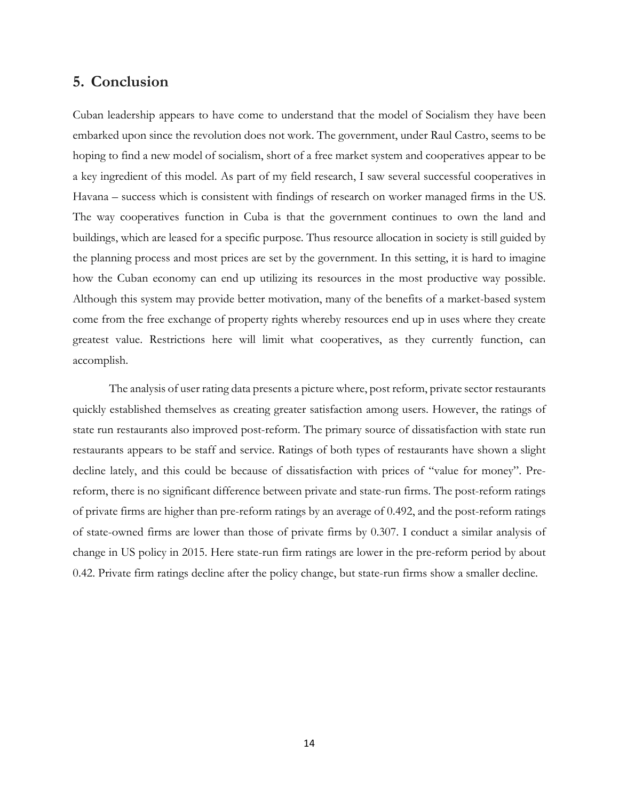## **5. Conclusion**

Cuban leadership appears to have come to understand that the model of Socialism they have been embarked upon since the revolution does not work. The government, under Raul Castro, seems to be hoping to find a new model of socialism, short of a free market system and cooperatives appear to be a key ingredient of this model. As part of my field research, I saw several successful cooperatives in Havana – success which is consistent with findings of research on worker managed firms in the US. The way cooperatives function in Cuba is that the government continues to own the land and buildings, which are leased for a specific purpose. Thus resource allocation in society is still guided by the planning process and most prices are set by the government. In this setting, it is hard to imagine how the Cuban economy can end up utilizing its resources in the most productive way possible. Although this system may provide better motivation, many of the benefits of a market-based system come from the free exchange of property rights whereby resources end up in uses where they create greatest value. Restrictions here will limit what cooperatives, as they currently function, can accomplish.

The analysis of user rating data presents a picture where, post reform, private sector restaurants quickly established themselves as creating greater satisfaction among users. However, the ratings of state run restaurants also improved post-reform. The primary source of dissatisfaction with state run restaurants appears to be staff and service. Ratings of both types of restaurants have shown a slight decline lately, and this could be because of dissatisfaction with prices of "value for money". Prereform, there is no significant difference between private and state-run firms. The post-reform ratings of private firms are higher than pre-reform ratings by an average of 0.492, and the post-reform ratings of state-owned firms are lower than those of private firms by 0.307. I conduct a similar analysis of change in US policy in 2015. Here state-run firm ratings are lower in the pre-reform period by about 0.42. Private firm ratings decline after the policy change, but state-run firms show a smaller decline.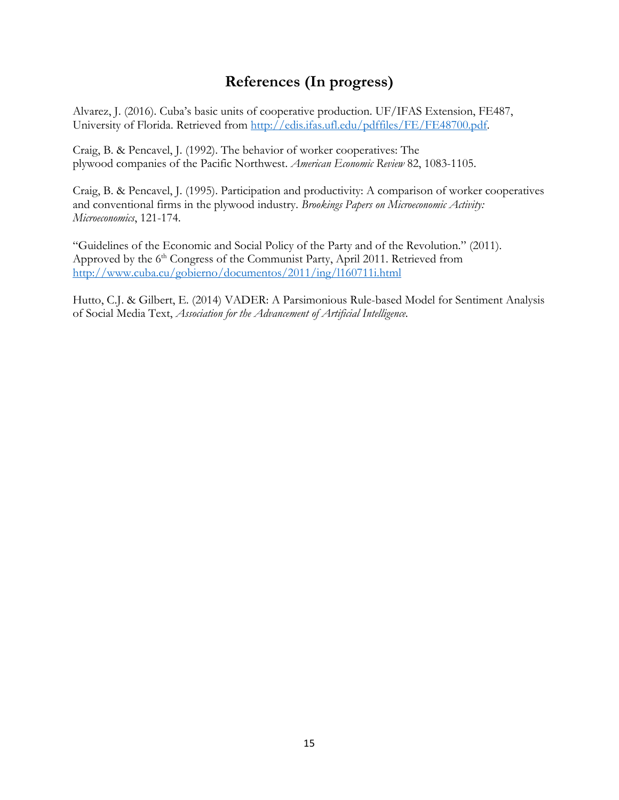# **References (In progress)**

Alvarez, J. (2016). Cuba's basic units of cooperative production. UF/IFAS Extension, FE487, University of Florida. Retrieved from [http://edis.ifas.ufl.edu/pdffiles/FE/FE48700.pdf.](http://edis.ifas.ufl.edu/pdffiles/FE/FE48700.pdf)

Craig, B. & Pencavel, J. (1992). The behavior of worker cooperatives: The plywood companies of the Pacific Northwest. *American Economic Review* 82, 1083-1105.

Craig, B. & Pencavel, J. (1995). Participation and productivity: A comparison of worker cooperatives and conventional firms in the plywood industry. *Brookings Papers on Microeconomic Activity: Microeconomics*, 121-174.

"Guidelines of the Economic and Social Policy of the Party and of the Revolution." (2011). Approved by the 6<sup>th</sup> Congress of the Communist Party, April 2011. Retrieved from <http://www.cuba.cu/gobierno/documentos/2011/ing/l160711i.html>

Hutto, C.J. & Gilbert, E. (2014) VADER: A Parsimonious Rule-based Model for Sentiment Analysis of Social Media Text, *Association for the Advancement of Artificial Intelligence.*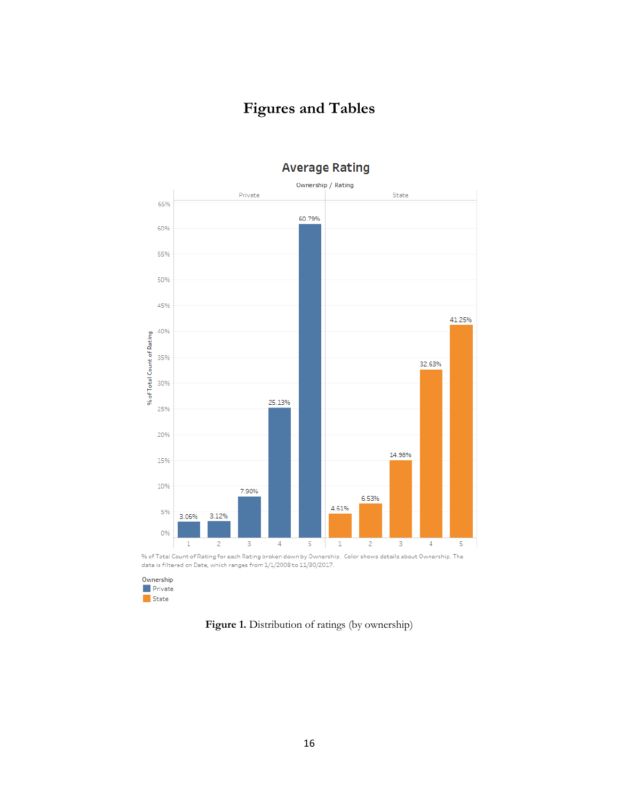# **Figures and Tables**



## **Average Rating**

% of Total Count of Rating for each Rating broken down by Ownership. Color shows details about Ownership. The data is filtered on Date, which ranges from 1/1/2008 to 11/30/2017.

Ownership  $\blacksquare$  Private  $\blacksquare$  State

**Figure 1.** Distribution of ratings (by ownership)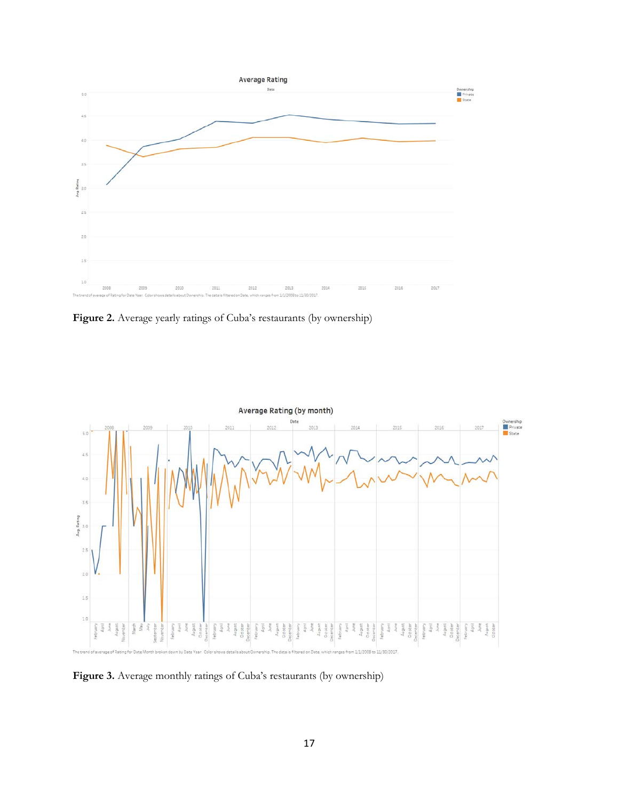

**Figure 2.** Average yearly ratings of Cuba's restaurants (by ownership)



Figure 3. Average monthly ratings of Cuba's restaurants (by ownership)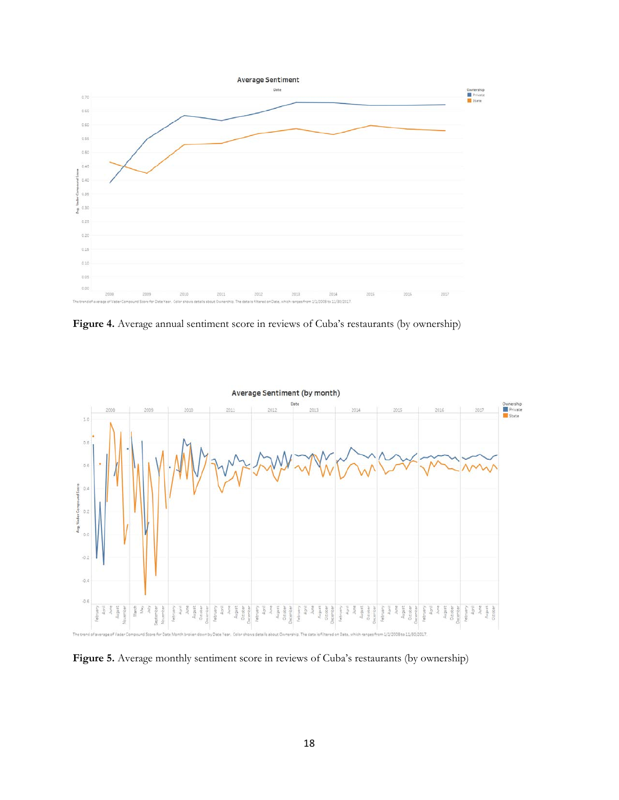

**Figure 4.** Average annual sentiment score in reviews of Cuba's restaurants (by ownership)



Figure 5. Average monthly sentiment score in reviews of Cuba's restaurants (by ownership)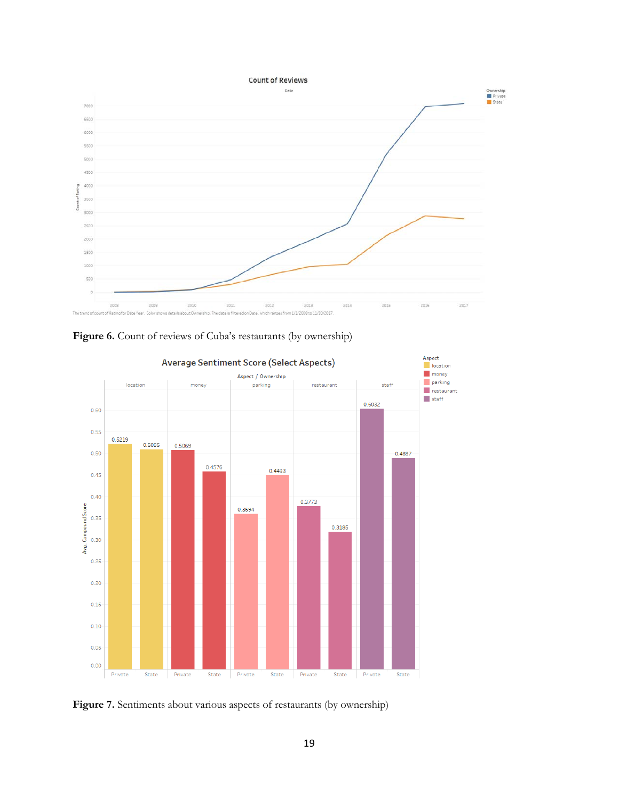





Figure 7. Sentiments about various aspects of restaurants (by ownership)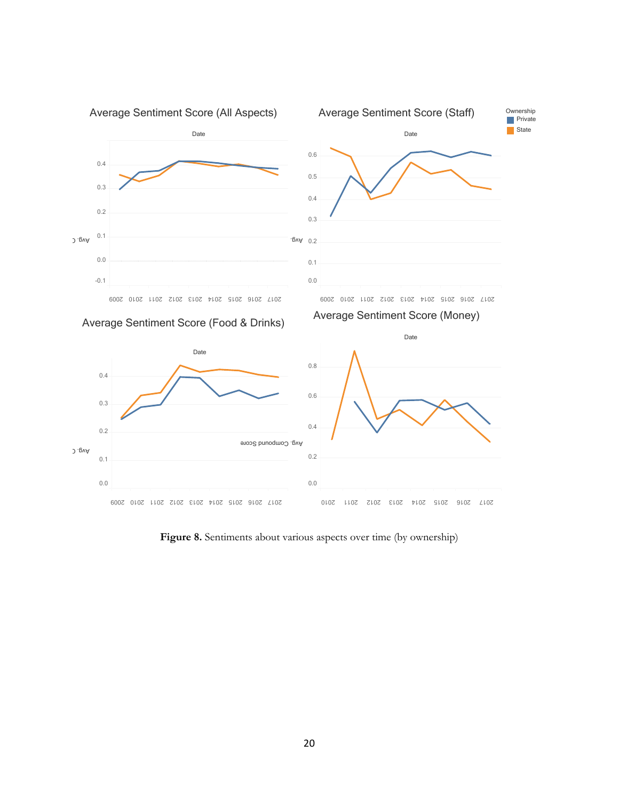

Figure 8. Sentiments about various aspects over time (by ownership)